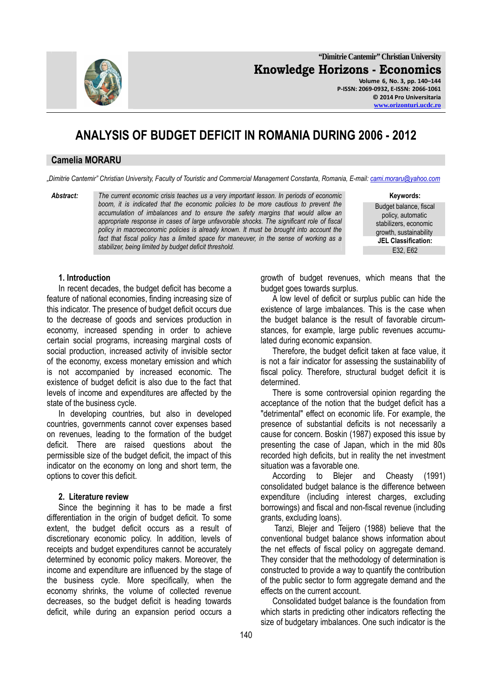

**"Dimitrie Cantemir" Christian University Knowledge Horizons - Economics Volume 6, No. 3, pp. 140–144** 

**P-ISSN: 2069-0932, E-ISSN: 2066-1061 © 2014 Pro Universitaria www.orizonturi.ucdc.ro**

# **ANALYSIS OF BUDGET DEFICIT IN ROMANIA DURING 2006 - 2012**

#### **Camelia MORARU**

*"Dimitrie Cantemir" Christian University, Faculty of Touristic and Commercial Management Constanta, Romania, E-mail: cami.moraru@yahoo.com*

*Abstract: The current economic crisis teaches us a very important lesson. In periods of economic*  boom, it is indicated that the economic policies to be more cautious to prevent the *accumulation of imbalances and to ensure the safety margins that would allow an appropriate response in cases of large unfavorable shocks. The significant role of fiscal policy in macroeconomic policies is already known. It must be brought into account the*  fact that fiscal policy has a limited space for maneuver, in the sense of working as a *stabilizer, being limited by budget deficit threshold.* E32, E62

**Keywords:**

Budget balance, fiscal policy, automatic stabilizers, economic growth, sustainability **JEL Classification:** 

#### **1. Introduction**

In recent decades, the budget deficit has become a feature of national economies, finding increasing size of this indicator. The presence of budget deficit occurs due to the decrease of goods and services production in economy, increased spending in order to achieve certain social programs, increasing marginal costs of social production, increased activity of invisible sector of the economy, excess monetary emission and which is not accompanied by increased economic. The existence of budget deficit is also due to the fact that levels of income and expenditures are affected by the state of the business cycle.

In developing countries, but also in developed countries, governments cannot cover expenses based on revenues, leading to the formation of the budget deficit. There are raised questions about the permissible size of the budget deficit, the impact of this indicator on the economy on long and short term, the options to cover this deficit.

#### **2. Literature review**

Since the beginning it has to be made a first differentiation in the origin of budget deficit. To some extent, the budget deficit occurs as a result of discretionary economic policy. In addition, levels of receipts and budget expenditures cannot be accurately determined by economic policy makers. Moreover, the income and expenditure are influenced by the stage of the business cycle. More specifically, when the economy shrinks, the volume of collected revenue decreases, so the budget deficit is heading towards deficit, while during an expansion period occurs a

growth of budget revenues, which means that the budget goes towards surplus.

A low level of deficit or surplus public can hide the existence of large imbalances. This is the case when the budget balance is the result of favorable circumstances, for example, large public revenues accumulated during economic expansion.

Therefore, the budget deficit taken at face value, it is not a fair indicator for assessing the sustainability of fiscal policy. Therefore, structural budget deficit it is determined.

There is some controversial opinion regarding the acceptance of the notion that the budget deficit has a "detrimental" effect on economic life. For example, the presence of substantial deficits is not necessarily a cause for concern. Boskin (1987) exposed this issue by presenting the case of Japan, which in the mid 80s recorded high deficits, but in reality the net investment situation was a favorable one.

According to Blejer and Cheasty (1991) consolidated budget balance is the difference between expenditure (including interest charges, excluding borrowings) and fiscal and non-fiscal revenue (including grants, excluding loans).

 Tanzi, Blejer and Teijero (1988) believe that the conventional budget balance shows information about the net effects of fiscal policy on aggregate demand. They consider that the methodology of determination is constructed to provide a way to quantify the contribution of the public sector to form aggregate demand and the effects on the current account.

Consolidated budget balance is the foundation from which starts in predicting other indicators reflecting the size of budgetary imbalances. One such indicator is the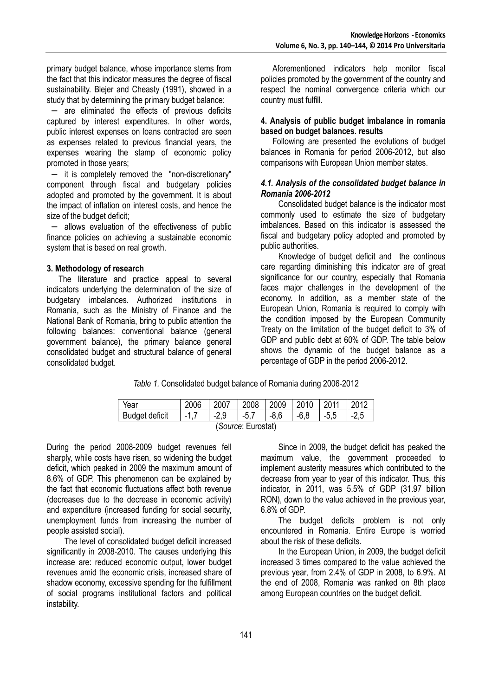primary budget balance, whose importance stems from the fact that this indicator measures the degree of fiscal sustainability. Blejer and Cheasty (1991), showed in a study that by determining the primary budget balance:

− are eliminated the effects of previous deficits captured by interest expenditures. In other words, public interest expenses on loans contracted are seen as expenses related to previous financial years, the expenses wearing the stamp of economic policy promoted in those years;

− it is completely removed the "non-discretionary" component through fiscal and budgetary policies adopted and promoted by the government. It is about the impact of inflation on interest costs, and hence the size of the budget deficit;

− allows evaluation of the effectiveness of public finance policies on achieving a sustainable economic system that is based on real growth.

#### **3. Methodology of research**

The literature and practice appeal to several indicators underlying the determination of the size of budgetary imbalances. Authorized institutions in Romania, such as the Ministry of Finance and the National Bank of Romania, bring to public attention the following balances: conventional balance (general government balance), the primary balance general consolidated budget and structural balance of general consolidated budget.

Aforementioned indicators help monitor fiscal policies promoted by the government of the country and respect the nominal convergence criteria which our country must fulfill.

#### **4. Analysis of public budget imbalance in romania based on budget balances. results**

Following are presented the evolutions of budget balances in Romania for period 2006-2012, but also comparisons with European Union member states.

#### *4.1. Analysis of the consolidated budget balance in Romania 2006-2012*

Consolidated budget balance is the indicator most commonly used to estimate the size of budgetary imbalances. Based on this indicator is assessed the fiscal and budgetary policy adopted and promoted by public authorities.

Knowledge of budget deficit and the continous care regarding diminishing this indicator are of great significance for our country, especially that Romania faces major challenges in the development of the economy. In addition, as a member state of the European Union, Romania is required to comply with the condition imposed by the European Community Treaty on the limitation of the budget deficit to 3% of GDP and public debt at 60% of GDP. The table below shows the dynamic of the budget balance as a percentage of GDP in the period 2006-2012.

*Table 1.* Consolidated budget balance of Romania during 2006-2012

| Year               | 2006  | 2007   | 2008    | 2009   | 2010 2011 |        | $\mid$ 2012 |  |
|--------------------|-------|--------|---------|--------|-----------|--------|-------------|--|
| Budget deficit     | $-17$ | $-2.9$ | $ -5.7$ | $-8.6$ | $-6.8$    | $-5.5$ | $-2.5$      |  |
| (Source: Eurostat) |       |        |         |        |           |        |             |  |

During the period 2008-2009 budget revenues fell sharply, while costs have risen, so widening the budget deficit, which peaked in 2009 the maximum amount of 8.6% of GDP. This phenomenon can be explained by the fact that economic fluctuations affect both revenue (decreases due to the decrease in economic activity) and expenditure (increased funding for social security, unemployment funds from increasing the number of people assisted social).

 The level of consolidated budget deficit increased significantly in 2008-2010. The causes underlying this increase are: reduced economic output, lower budget revenues amid the economic crisis, increased share of shadow economy, excessive spending for the fulfillment of social programs institutional factors and political instability.

 Since in 2009, the budget deficit has peaked the maximum value, the government proceeded to implement austerity measures which contributed to the decrease from year to year of this indicator. Thus, this indicator, in 2011, was 5.5% of GDP (31.97 billion RON), down to the value achieved in the previous year, 6.8% of GDP.

 The budget deficits problem is not only encountered in Romania. Entire Europe is worried about the risk of these deficits.

 In the European Union, in 2009, the budget deficit increased 3 times compared to the value achieved the previous year, from 2.4% of GDP in 2008, to 6.9%. At the end of 2008, Romania was ranked on 8th place among European countries on the budget deficit.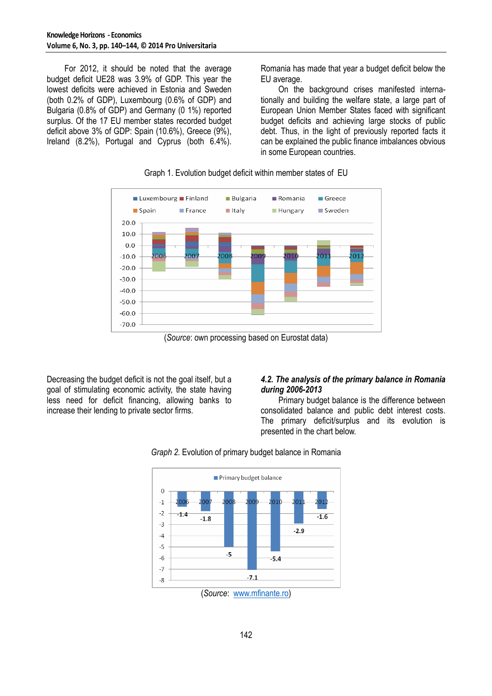For 2012, it should be noted that the average budget deficit UE28 was 3.9% of GDP. This year the lowest deficits were achieved in Estonia and Sweden (both 0.2% of GDP), Luxembourg (0.6% of GDP) and Bulgaria (0.8% of GDP) and Germany (0 1%) reported surplus. Of the 17 EU member states recorded budget deficit above 3% of GDP: Spain (10.6%), Greece (9%), Ireland (8.2%), Portugal and Cyprus (both 6.4%).

Romania has made that year a budget deficit below the EU average.

On the background crises manifested internationally and building the welfare state, a large part of European Union Member States faced with significant budget deficits and achieving large stocks of public debt. Thus, in the light of previously reported facts it can be explained the public finance imbalances obvious in some European countries.





(*Source*: own processing based on Eurostat data)

Decreasing the budget deficit is not the goal itself, but a goal of stimulating economic activity, the state having less need for deficit financing, allowing banks to increase their lending to private sector firms.

## *4.2. The analysis of the primary balance in Romania during 2006-2013*

 Primary budget balance is the difference between consolidated balance and public debt interest costs. The primary deficit/surplus and its evolution is presented in the chart below.



*Graph 2.* Evolution of primary budget balance in Romania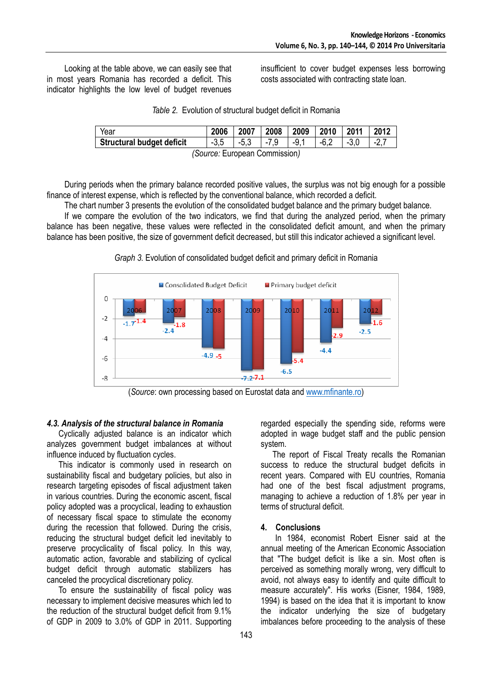Looking at the table above, we can easily see that in most years Romania has recorded a deficit. This indicator highlights the low level of budget revenues insufficient to cover budget expenses less borrowing costs associated with contracting state loan.

|  | Table 2. Evolution of structural budget deficit in Romania |  |  |
|--|------------------------------------------------------------|--|--|
|  |                                                            |  |  |

| Year                             | 2006   | 2007   | 2008 2009 |              | 2010 2011 |        | 2012   |  |
|----------------------------------|--------|--------|-----------|--------------|-----------|--------|--------|--|
| <b>Structural budget deficit</b> | $-3.5$ | $-5.3$ | $-7.9$    | $\vert$ -9.1 | $-6.2$    | $-3.0$ | $-2.7$ |  |
| (Source: European Commission)    |        |        |           |              |           |        |        |  |

 During periods when the primary balance recorded positive values, the surplus was not big enough for a possible finance of interest expense, which is reflected by the conventional balance, which recorded a deficit.

 The chart number 3 presents the evolution of the consolidated budget balance and the primary budget balance. If we compare the evolution of the two indicators, we find that during the analyzed period, when the primary balance has been negative, these values were reflected in the consolidated deficit amount, and when the primary balance has been positive, the size of government deficit decreased, but still this indicator achieved a significant level.



*Graph 3.* Evolution of consolidated budget deficit and primary deficit in Romania

(*Source*: own processing based on Eurostat data and www.mfinante.ro)

#### *4.3. Analysis of the structural balance in Romania*

Cyclically adjusted balance is an indicator which analyzes government budget imbalances at without influence induced by fluctuation cycles.

This indicator is commonly used in research on sustainability fiscal and budgetary policies, but also in research targeting episodes of fiscal adjustment taken in various countries. During the economic ascent, fiscal policy adopted was a procyclical, leading to exhaustion of necessary fiscal space to stimulate the economy during the recession that followed. During the crisis, reducing the structural budget deficit led inevitably to preserve procyclicality of fiscal policy. In this way, automatic action, favorable and stabilizing of cyclical budget deficit through automatic stabilizers has canceled the procyclical discretionary policy.

To ensure the sustainability of fiscal policy was necessary to implement decisive measures which led to the reduction of the structural budget deficit from 9.1% of GDP in 2009 to 3.0% of GDP in 2011. Supporting

regarded especially the spending side, reforms were adopted in wage budget staff and the public pension system.

The report of Fiscal Treaty recalls the Romanian success to reduce the structural budget deficits in recent years. Compared with EU countries, Romania had one of the best fiscal adjustment programs, managing to achieve a reduction of 1.8% per year in terms of structural deficit.

## **4. Conclusions**

 In 1984, economist Robert Eisner said at the annual meeting of the American Economic Association that "The budget deficit is like a sin. Most often is perceived as something morally wrong, very difficult to avoid, not always easy to identify and quite difficult to measure accurately". His works (Eisner, 1984, 1989, 1994) is based on the idea that it is important to know the indicator underlying the size of budgetary imbalances before proceeding to the analysis of these